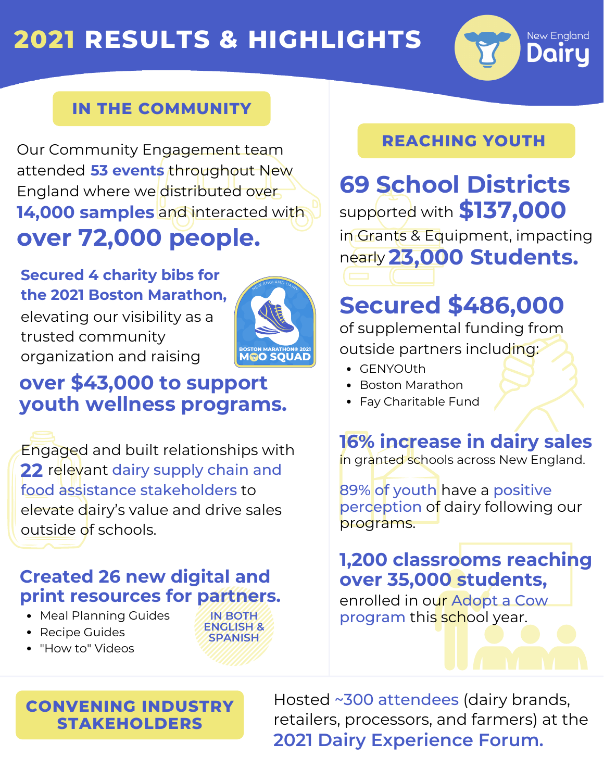# **2021 RESULTS & HIGHLIGHTS**



#### **IN THE COMMUNITY**

Our Community Engagement team attended **53 events** throughout New England where we distributed over **14,000 samples** and interacted with **over 72,000 people.**

#### **Secured 4 charity bibs for the 2021 Boston Marathon,**

elevating our visibility as a trusted community organization and raising



## **over \$43,000 to support youth wellness programs.**

Engaged and built relationships with 22 relevant dairy supply chain and food assistance stakeholders to elevate dairy's value and drive sales outside of schools.

#### **Created 26 new digital and print resources for partners.**

**IN BOTH ENGLISH & SPANISH**

- Meal Planning Guides
- Recipe Guides
- "How to" Videos



#### Hosted ~300 attendees (dairy brands, retailers, processors, and farmers) at the **2021 Dairy Experience Forum.**

#### **REACHING YOUTH**

nearly **23,000 Students.** supported with **\$137,000 69 School Districts** in Grants & Equipment, impacting

# **Secured \$486,000**

of supplemental funding from outside partners including:

- GENYOUth
- Boston Marathon
- Fay Charitable Fund

# **16% increase in dairy sales**

in granted schools across New England.

89% of youth have a positive perception of dairy following our programs.

## **1,200 classrooms reaching over 35,000 students,**

enrolled in our Adopt a Cow program this school year.